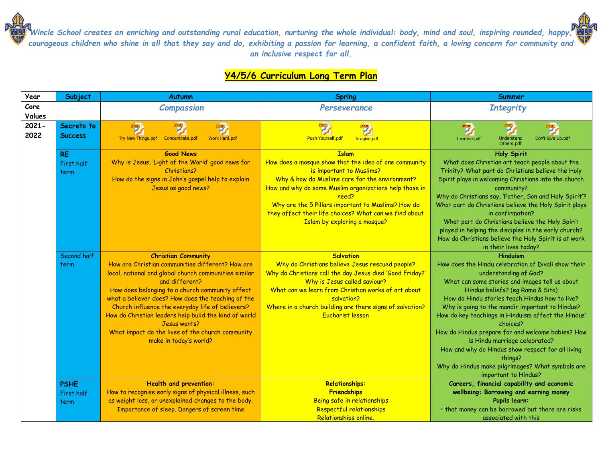## **Y4/5/6 Curriculum Long Term Plan**

| Year             | Subject                                | <b>Autumn</b>                                                                                                                                                                                                                                                                                                                                                                                                                                                                 | <b>Spring</b>                                                                                                                                                                                                                                                                                                                                                          | Summer                                                                                                                                                                                                                                                                                                                                                                                                                                                                                                                                                                                          |
|------------------|----------------------------------------|-------------------------------------------------------------------------------------------------------------------------------------------------------------------------------------------------------------------------------------------------------------------------------------------------------------------------------------------------------------------------------------------------------------------------------------------------------------------------------|------------------------------------------------------------------------------------------------------------------------------------------------------------------------------------------------------------------------------------------------------------------------------------------------------------------------------------------------------------------------|-------------------------------------------------------------------------------------------------------------------------------------------------------------------------------------------------------------------------------------------------------------------------------------------------------------------------------------------------------------------------------------------------------------------------------------------------------------------------------------------------------------------------------------------------------------------------------------------------|
| Core             |                                        | <b>Compassion</b>                                                                                                                                                                                                                                                                                                                                                                                                                                                             | Perseverance                                                                                                                                                                                                                                                                                                                                                           | <b>Integrity</b>                                                                                                                                                                                                                                                                                                                                                                                                                                                                                                                                                                                |
| Values           |                                        |                                                                                                                                                                                                                                                                                                                                                                                                                                                                               |                                                                                                                                                                                                                                                                                                                                                                        |                                                                                                                                                                                                                                                                                                                                                                                                                                                                                                                                                                                                 |
| $2021 -$<br>2022 | Secrets to<br><b>Success</b>           | 骂<br>Try New Things.pdf<br>Work Hard.pdf<br>Concentrate.pdf                                                                                                                                                                                                                                                                                                                                                                                                                   | Push Yourself.pdf<br>Imagine.pdf                                                                                                                                                                                                                                                                                                                                       | 罗<br>Understand<br>Don't Give Up.pdf<br>Improve.pdf<br>Others.pdf                                                                                                                                                                                                                                                                                                                                                                                                                                                                                                                               |
|                  | <b>RE</b><br><b>First half</b><br>term | <b>Good News</b><br>Why is Jesus, 'Light of the World' good news for<br>Christians?<br>How do the signs in John's gospel help to explain<br>Jesus as good news?                                                                                                                                                                                                                                                                                                               | <b>Islam</b><br>How does a mosque show that the idea of one community<br>is important to Muslims?<br>Why & how do Muslims care for the environment?<br>How and why do some Muslim organizations help those in<br>need?<br>Why are the 5 Pillars important to Muslims? How do<br>they affect their life choices? What can we find about<br>Islam by exploring a mosque? | <b>Holy Spirit</b><br>What does Christian art teach people about the<br>Trinity? What part do Christians believe the Holy<br>Spirit plays in welcoming Christians into the church<br>community?<br>Why do Christians say, 'Father, Son and Holy Spirit'?<br>What part do Christians believe the Holy Spirit plays<br>in confirmation?<br>What part do Christians believe the Holy Spirit<br>played in helping the disciples in the early church?<br>How do Christians believe the Holy Spirit is at work<br>in their lives today?                                                               |
|                  | Second half<br>term                    | <b>Christian Community</b><br>How are Christian communities different? How are<br>local, national and global church communities similar<br>and different?<br>How does belonging to a church community affect<br>what a believer does? How does the teaching of the<br>Church influence the everyday life of believers?<br>How do Christian leaders help build the kind of world<br>Jesus wants?<br>What impact do the lives of the church community<br>make in today's world? | <b>Salvation</b><br>Why do Christians believe Jesus rescued people?<br>Why do Christians call the day Jesus died 'Good Friday?'<br>Why is Jesus called saviour?<br>What can we learn from Christian works of art about<br>salvation?<br>Where in a church building are there signs of salvation?<br><b>Eucharist lesson</b>                                            | <b>Hinduism</b><br>How does the Hindu celebration of Divali show their<br>understanding of God?<br>What can some stories and images tell us about<br>Hindus beliefs? (eg Rama & Sita)<br>How do Hindu stories teach Hindus how to live?<br>Why is going to the mandir important to Hindus?<br>How do key teachings in Hinduism affect the Hindus'<br>choices?<br>How do Hindus prepare for and welcome babies? How<br>is Hindu marriage celebrated?<br>How and why do Hindus show respect for all living<br>things?<br>Why do Hindus make pilgrimages? What symbols are<br>important to Hindus? |
|                  | <b>PSHE</b><br>First half<br>term      | <b>Health and prevention:</b><br>How to recognise early signs of physical illness, such<br>as weight loss, or unexplained changes to the body.<br>Importance of sleep. Dangers of screen time                                                                                                                                                                                                                                                                                 | Relationships:<br><b>Friendships</b><br>Being safe in relationships<br>Respectful relationships<br>Relationships online.                                                                                                                                                                                                                                               | Careers, financial capability and economic<br>wellbeing: Borrowing and earning money<br>Pupils learn:<br>. that money can be borrowed but there are risks<br>associated with this                                                                                                                                                                                                                                                                                                                                                                                                               |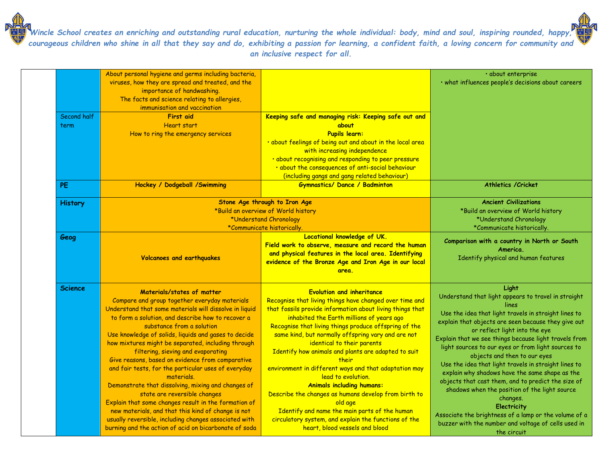| Second half<br>term | About personal hygiene and germs including bacteria,<br>viruses, how they are spread and treated, and the<br>importance of handwashing.<br>The facts and science relating to allergies,<br>immunisation and vaccination<br><b>First aid</b><br><b>Heart start</b><br>How to ring the emergency services                                                                                                                                                                                                                                                                                                                                                                                                                                                                                                                    | Keeping safe and managing risk: Keeping safe out and<br>about<br><b>Pupils learn:</b><br>· about feelings of being out and about in the local area<br>with increasing independence<br>· about recognising and responding to peer pressure<br>· about the consequences of anti-social behaviour<br>(including gangs and gang related behaviour)                                                                                                                                                                                                                                                                                                                                                                                                      | · about enterprise<br>· what influences people's decisions about careers                                                                                                                                                                                                                                                                                                                                                                                                                                                                                                                                                                                                                                                                               |
|---------------------|----------------------------------------------------------------------------------------------------------------------------------------------------------------------------------------------------------------------------------------------------------------------------------------------------------------------------------------------------------------------------------------------------------------------------------------------------------------------------------------------------------------------------------------------------------------------------------------------------------------------------------------------------------------------------------------------------------------------------------------------------------------------------------------------------------------------------|-----------------------------------------------------------------------------------------------------------------------------------------------------------------------------------------------------------------------------------------------------------------------------------------------------------------------------------------------------------------------------------------------------------------------------------------------------------------------------------------------------------------------------------------------------------------------------------------------------------------------------------------------------------------------------------------------------------------------------------------------------|--------------------------------------------------------------------------------------------------------------------------------------------------------------------------------------------------------------------------------------------------------------------------------------------------------------------------------------------------------------------------------------------------------------------------------------------------------------------------------------------------------------------------------------------------------------------------------------------------------------------------------------------------------------------------------------------------------------------------------------------------------|
| <b>PE</b>           | Hockey / Dodgeball / Swimming                                                                                                                                                                                                                                                                                                                                                                                                                                                                                                                                                                                                                                                                                                                                                                                              | <b>Gymnastics/ Dance / Badminton</b>                                                                                                                                                                                                                                                                                                                                                                                                                                                                                                                                                                                                                                                                                                                | Athletics / Cricket                                                                                                                                                                                                                                                                                                                                                                                                                                                                                                                                                                                                                                                                                                                                    |
| <b>History</b>      |                                                                                                                                                                                                                                                                                                                                                                                                                                                                                                                                                                                                                                                                                                                                                                                                                            | Stone Age through to Iron Age<br>*Build an overview of World history<br>*Understand Chronology<br>*Communicate historically.                                                                                                                                                                                                                                                                                                                                                                                                                                                                                                                                                                                                                        | <b>Ancient Civilizations</b><br>*Build an overview of World history<br>*Understand Chronology<br>*Communicate historically.                                                                                                                                                                                                                                                                                                                                                                                                                                                                                                                                                                                                                            |
| Geog                | <b>Volcanoes and earthquakes</b>                                                                                                                                                                                                                                                                                                                                                                                                                                                                                                                                                                                                                                                                                                                                                                                           | Locational knowledge of UK.<br>Field work to observe, measure and record the human<br>and physical features in the local area. Identifying<br>evidence of the Bronze Age and Iron Age in our local<br>area.                                                                                                                                                                                                                                                                                                                                                                                                                                                                                                                                         | Comparison with a country in North or South<br>America.<br>Identify physical and human features                                                                                                                                                                                                                                                                                                                                                                                                                                                                                                                                                                                                                                                        |
| <b>Science</b>      | Materials/states of matter<br>Compare and group together everyday materials<br>Understand that some materials will dissolve in liquid<br>to form a solution, and describe how to recover a<br>substance from a solution<br>Use knowledge of solids, liquids and gases to decide<br>how mixtures might be separated, including through<br>filtering, sieving and evaporating<br>Give reasons, based on evidence from comparative<br>and fair tests, for the particular uses of everyday<br>materials.<br>Demonstrate that dissolving, mixing and changes of<br>state are reversible changes<br>Explain that some changes result in the formation of<br>new materials, and that this kind of change is not<br>usually reversible, including changes associated with<br>burning and the action of acid on bicarbonate of soda | <b>Evolution and inheritance</b><br>Recognise that living things have changed over time and<br>that fossils provide information about living things that<br>inhabited the Earth millions of years ago<br>Recognise that living things produce offspring of the<br>same kind, but normally offspring vary and are not<br>identical to their parents<br>Identify how animals and plants are adapted to suit<br>their<br>environment in different ways and that adaptation may<br>lead to evolution.<br><b>Animals including humans:</b><br>Describe the changes as humans develop from birth to<br>old age<br>Identify and name the main parts of the human<br>circulatory system, and explain the functions of the<br>heart, blood vessels and blood | Light<br>Understand that light appears to travel in straight<br>lines<br>Use the idea that light travels in straight lines to<br>explain that objects are seen because they give out<br>or reflect light into the eye<br>Explain that we see things because light travels from<br>light sources to our eyes or from light sources to<br>objects and then to our eyes<br>Use the idea that light travels in straight lines to<br>explain why shadows have the same shape as the<br>objects that cast them, and to predict the size of<br>shadows when the position of the light source<br>changes.<br><b>Electricity</b><br>Associate the brightness of a lamp or the volume of a<br>buzzer with the number and voltage of cells used in<br>the circuit |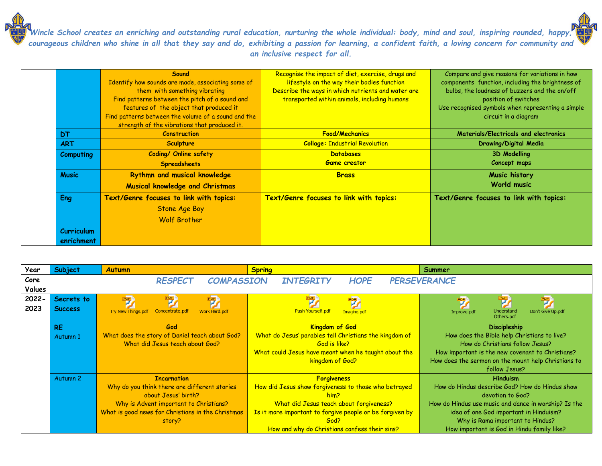|                                 | Sound<br>Identify how sounds are made, associating some of<br>them with something vibrating<br>Find patterns between the pitch of a sound and<br>features of the object that produced it<br>Find patterns between the volume of a sound and the<br>strength of the vibrations that produced it. | Recognise the impact of diet, exercise, drugs and<br>lifestyle on the way their bodies function<br>Describe the ways in which nutrients and water are<br>transported within animals, including humans | Compare and give reasons for variations in how<br>components function, including the brightness of<br>bulbs, the loudness of buzzers and the on/off<br>position of switches<br>Use recognised symbols when representing a simple<br>circuit in a diagram |
|---------------------------------|-------------------------------------------------------------------------------------------------------------------------------------------------------------------------------------------------------------------------------------------------------------------------------------------------|-------------------------------------------------------------------------------------------------------------------------------------------------------------------------------------------------------|----------------------------------------------------------------------------------------------------------------------------------------------------------------------------------------------------------------------------------------------------------|
| DT.                             | <b>Construction</b>                                                                                                                                                                                                                                                                             | <b>Food/Mechanics</b>                                                                                                                                                                                 | <b>Materials/Electricals and electronics</b>                                                                                                                                                                                                             |
| <b>ART</b>                      | <b>Sculpture</b>                                                                                                                                                                                                                                                                                | <b>Collage: Industrial Revolution</b>                                                                                                                                                                 | Drawing/Digital Media                                                                                                                                                                                                                                    |
| <b>Computing</b>                | <b>Coding/ Online safety</b><br><b>Spreadsheets</b>                                                                                                                                                                                                                                             | <b>Databases</b><br><b>Game creator</b>                                                                                                                                                               | <b>3D Modelling</b><br>Concept maps                                                                                                                                                                                                                      |
| <b>Music</b>                    | Rythmn and musical knowledge<br><b>Musical knowledge and Christmas</b>                                                                                                                                                                                                                          | <b>Brass</b>                                                                                                                                                                                          | Music history<br><b>World music</b>                                                                                                                                                                                                                      |
| Eng                             | Text/Genre focuses to link with topics:<br><b>Stone Age Boy</b><br><b>Wolf Brother</b>                                                                                                                                                                                                          | Text/Genre focuses to link with topics:                                                                                                                                                               | Text/Genre focuses to link with topics:                                                                                                                                                                                                                  |
| <b>Curriculum</b><br>enrichment |                                                                                                                                                                                                                                                                                                 |                                                                                                                                                                                                       |                                                                                                                                                                                                                                                          |

| Year   | Subject             | <b>Autumn</b>                                          | <b>Spring</b>                                            | Summer                                                       |
|--------|---------------------|--------------------------------------------------------|----------------------------------------------------------|--------------------------------------------------------------|
| Core   |                     | <b>COMPASSION</b><br><b>RESPECT</b>                    | <b>INTEGRITY</b><br><b>HOPE</b>                          | <b>PERSEVERANCE</b>                                          |
| Values |                     |                                                        |                                                          |                                                              |
| 2022-  | Secrets to          | 啰<br>罗人                                                |                                                          | <b>PPF</b><br>粤                                              |
| 2023   | <b>Success</b>      | Concentrate.pdf<br>Try New Things.pdf<br>Work Hard.pdf | Push Yourself.pdf<br>Imagine.pdf                         | Understand<br>Don't Give Up.pdf<br>Improve.pdf<br>Others.pdf |
|        | <b>RE</b>           | God                                                    | <b>Kingdom of God</b>                                    | Discipleship                                                 |
|        | Autumn 1            | What does the story of Daniel teach about God?         | What do Jesus' parables tell Christians the kingdom of   | How does the Bible help Christians to live?                  |
|        |                     | What did Jesus teach about God?                        | <b>God is like?</b>                                      | How do Christians follow Jesus?                              |
|        |                     |                                                        | What could Jesus have meant when he taught about the     | How important is the new covenant to Christians?             |
|        |                     |                                                        | <b>kingdom of God?</b>                                   | How does the sermon on the mount help Christians to          |
|        |                     |                                                        |                                                          | follow Jesus?                                                |
|        | Autumn <sub>2</sub> | <b>Incarnation</b>                                     | <b>Forgiveness</b>                                       | <b>Hinduism</b>                                              |
|        |                     | Why do you think there are different stories           | How did Jesus show forgiveness to those who betrayed     | How do Hindus describe God? How do Hindus show               |
|        |                     | about Jesus' birth?                                    | him?                                                     | devotion to God?                                             |
|        |                     | Why is Advent important to Christians?                 | What did Jesus teach about forgiveness?                  | How do Hindus use music and dance in worship? Is the         |
|        |                     | What is good news for Christians in the Christmas      | Is it more important to forgive people or be forgiven by | idea of one God important in Hinduism?                       |
|        |                     | story?                                                 | God?                                                     | Why is Rama important to Hindus?                             |
|        |                     |                                                        | How and why do Christians confess their sins?            | How important is God in Hindu family like?                   |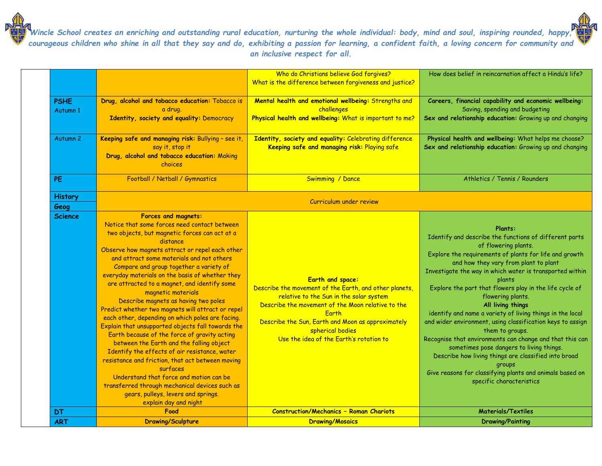|                         |                                                                                                                                                                                                                                                                                                                                                                                                                                                                                                                                                                                                                                                                                                                                                                                                                                                                                                                                                                                      | Who do Christians believe God forgives?<br>What is the difference between forgiveness and justice?                                                                                                                                                                                                      | How does belief in reincarnation affect a Hindu's life?                                                                                                                                                                                                                                                                                                                                                                                                                                                                                                                                                                                                                                                                                                                                 |
|-------------------------|--------------------------------------------------------------------------------------------------------------------------------------------------------------------------------------------------------------------------------------------------------------------------------------------------------------------------------------------------------------------------------------------------------------------------------------------------------------------------------------------------------------------------------------------------------------------------------------------------------------------------------------------------------------------------------------------------------------------------------------------------------------------------------------------------------------------------------------------------------------------------------------------------------------------------------------------------------------------------------------|---------------------------------------------------------------------------------------------------------------------------------------------------------------------------------------------------------------------------------------------------------------------------------------------------------|-----------------------------------------------------------------------------------------------------------------------------------------------------------------------------------------------------------------------------------------------------------------------------------------------------------------------------------------------------------------------------------------------------------------------------------------------------------------------------------------------------------------------------------------------------------------------------------------------------------------------------------------------------------------------------------------------------------------------------------------------------------------------------------------|
| <b>PSHE</b><br>Autumn 1 | Drug, alcohol and tobacco education: Tobacco is<br>a drug.<br>Identity, society and equality: Democracy                                                                                                                                                                                                                                                                                                                                                                                                                                                                                                                                                                                                                                                                                                                                                                                                                                                                              | Mental health and emotional wellbeing: Strengths and<br>challenges<br>Physical health and wellbeing: What is important to me?                                                                                                                                                                           | Careers, financial capability and economic wellbeing:<br>Saving, spending and budgeting<br>Sex and relationship education: Growing up and changing                                                                                                                                                                                                                                                                                                                                                                                                                                                                                                                                                                                                                                      |
| Autumn <sub>2</sub>     | Keeping safe and managing risk: Bullying - see it,<br>say it, stop it<br>Drug, alcohol and tobacco education: Making<br>choices                                                                                                                                                                                                                                                                                                                                                                                                                                                                                                                                                                                                                                                                                                                                                                                                                                                      | Identity, society and equality: Celebrating difference<br>Keeping safe and managing risk: Playing safe                                                                                                                                                                                                  | Physical health and wellbeing: What helps me choose?<br>Sex and relationship education: Growing up and changing                                                                                                                                                                                                                                                                                                                                                                                                                                                                                                                                                                                                                                                                         |
| PE                      | Football / Netball / Gymnastics                                                                                                                                                                                                                                                                                                                                                                                                                                                                                                                                                                                                                                                                                                                                                                                                                                                                                                                                                      | Swimming / Dance                                                                                                                                                                                                                                                                                        | Athletics / Tennis / Rounders                                                                                                                                                                                                                                                                                                                                                                                                                                                                                                                                                                                                                                                                                                                                                           |
| <b>History</b>          | Curriculum under review                                                                                                                                                                                                                                                                                                                                                                                                                                                                                                                                                                                                                                                                                                                                                                                                                                                                                                                                                              |                                                                                                                                                                                                                                                                                                         |                                                                                                                                                                                                                                                                                                                                                                                                                                                                                                                                                                                                                                                                                                                                                                                         |
| Geog                    |                                                                                                                                                                                                                                                                                                                                                                                                                                                                                                                                                                                                                                                                                                                                                                                                                                                                                                                                                                                      |                                                                                                                                                                                                                                                                                                         |                                                                                                                                                                                                                                                                                                                                                                                                                                                                                                                                                                                                                                                                                                                                                                                         |
| <b>Science</b>          | Forces and magnets:<br>Notice that some forces need contact between<br>two objects, but magnetic forces can act at a<br>distance<br>Observe how magnets attract or repel each other<br>and attract some materials and not others<br>Compare and group together a variety of<br>everyday materials on the basis of whether they<br>are attracted to a magnet, and identify some<br>magnetic materials<br>Describe magnets as having two poles<br>Predict whether two magnets will attract or repel<br>each other, depending on which poles are facing.<br>Explain that unsupported objects fall towards the<br>Earth because of the force of gravity acting<br>between the Earth and the falling object<br>Identify the effects of air resistance, water<br>resistance and friction, that act between moving<br>surfaces<br>Understand that force and motion can be<br>transferred through mechanical devices such as<br>gears, pulleys, levers and springs.<br>explain day and night | Earth and space:<br>Describe the movement of the Earth, and other planets,<br>relative to the Sun in the solar system<br>Describe the movement of the Moon relative to the<br>Farth<br>Describe the Sun, Earth and Moon as approximately<br>spherical bodies<br>Use the idea of the Earth's rotation to | Plants:<br>Identify and describe the functions of different parts<br>of flowering plants.<br>Explore the requirements of plants for life and growth<br>and how they vary from plant to plant<br>Investigate the way in which water is transported within<br>plants<br>Explore the part that flowers play in the life cycle of<br>flowering plants.<br>All living things<br>identify and name a variety of living things in the local<br>and wider environment, using classification keys to assign<br>them to groups.<br>Recognise that environments can change and that this can<br>sometimes pose dangers to living things.<br>Describe how living things are classified into broad<br>groups<br>Give reasons for classifying plants and animals based on<br>specific characteristics |
| DТ                      | Food                                                                                                                                                                                                                                                                                                                                                                                                                                                                                                                                                                                                                                                                                                                                                                                                                                                                                                                                                                                 | <b>Construction/Mechanics - Roman Chariots</b>                                                                                                                                                                                                                                                          | <b>Materials/Textiles</b>                                                                                                                                                                                                                                                                                                                                                                                                                                                                                                                                                                                                                                                                                                                                                               |
| ART                     | <b>Drawing/Sculpture</b>                                                                                                                                                                                                                                                                                                                                                                                                                                                                                                                                                                                                                                                                                                                                                                                                                                                                                                                                                             | <b>Drawing/Mosaics</b>                                                                                                                                                                                                                                                                                  | <b>Drawing/Painting</b>                                                                                                                                                                                                                                                                                                                                                                                                                                                                                                                                                                                                                                                                                                                                                                 |